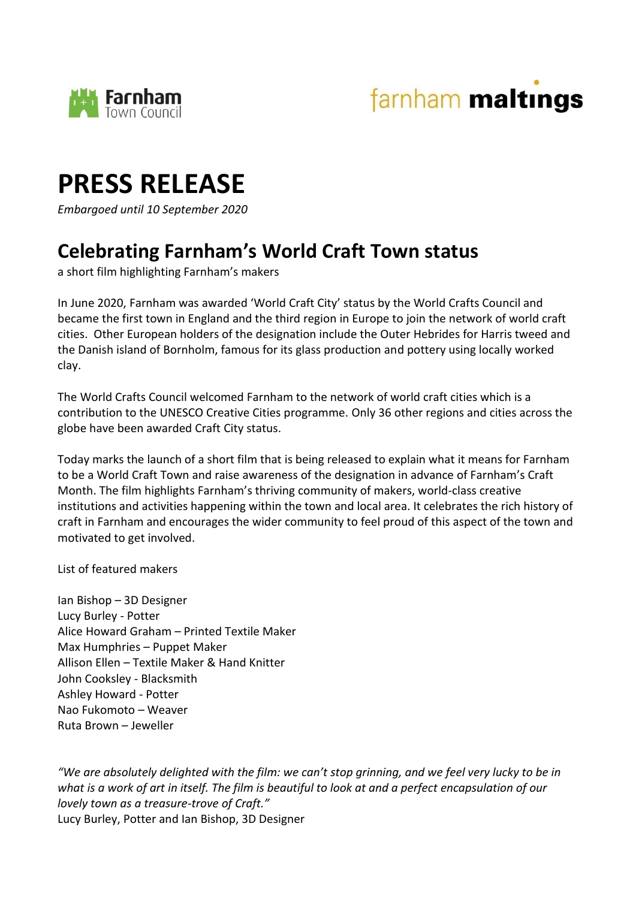





*Embargoed until 10 September 2020*

## **Celebrating Farnham's World Craft Town status**

a short film highlighting Farnham's makers

In June 2020, Farnham was awarded 'World Craft City' status by the World Crafts Council and became the first town in England and the third region in Europe to join the network of world craft cities. Other European holders of the designation include the Outer Hebrides for Harris tweed and the Danish island of Bornholm, famous for its glass production and pottery using locally worked clay.

The World Crafts Council welcomed Farnham to the network of world craft cities which is a contribution to the UNESCO Creative Cities programme. Only 36 other regions and cities across the globe have been awarded Craft City status.

Today marks the launch of a short film that is being released to explain what it means for Farnham to be a World Craft Town and raise awareness of the designation in advance of Farnham's Craft Month. The film highlights Farnham's thriving community of makers, world-class creative institutions and activities happening within the town and local area. It celebrates the rich history of craft in Farnham and encourages the wider community to feel proud of this aspect of the town and motivated to get involved.

List of featured makers

Ian Bishop – 3D Designer Lucy Burley - Potter Alice Howard Graham – Printed Textile Maker Max Humphries – Puppet Maker Allison Ellen – Textile Maker & Hand Knitter John Cooksley - Blacksmith Ashley Howard - Potter Nao Fukomoto – Weaver Ruta Brown – Jeweller

*"We are absolutely delighted with the film: we can't stop grinning, and we feel very lucky to be in what is a work of art in itself. The film is beautiful to look at and a perfect encapsulation of our lovely town as a treasure-trove of Craft."* Lucy Burley, Potter and Ian Bishop, 3D Designer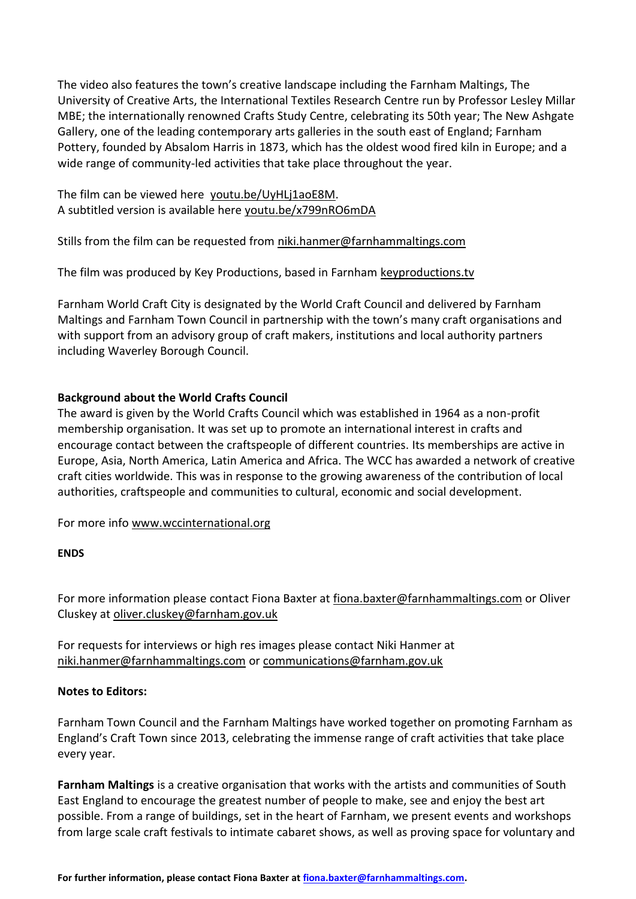The video also features the town's creative landscape including the Farnham Maltings, The University of Creative Arts, the International Textiles Research Centre run by Professor Lesley Millar MBE; the internationally renowned Crafts Study Centre, celebrating its 50th year; The New Ashgate Gallery, one of the leading contemporary arts galleries in the south east of England; Farnham Pottery, founded by Absalom Harris in 1873, which has the oldest wood fired kiln in Europe; and a wide range of community-led activities that take place throughout the year.

The film can be viewed here [youtu.be/UyHLj1aoE8M.](https://youtu.be/UyHLj1aoE8M) A subtitled version is available here [youtu.be/x799nRO6mDA](https://youtu.be/x799nRO6mDA)

Stills from the film can be requested from [niki.hanmer@farnhammaltings.com](mailto:niki.hanmer@farnhammaltings.com)

The film was produced by Key Productions, based in Farnham [keyproductions.tv](https://keyproductions.tv/)

Farnham World Craft City is designated by the World Craft Council and delivered by Farnham Maltings and Farnham Town Council in partnership with the town's many craft organisations and with support from an advisory group of craft makers, institutions and local authority partners including Waverley Borough Council.

## **Background about the World Crafts Council**

The award is given by the World Crafts Council which was established in 1964 as a non-profit membership organisation. It was set up to promote an international interest in crafts and encourage contact between the craftspeople of different countries. Its memberships are active in Europe, Asia, North America, Latin America and Africa. The WCC has awarded a network of creative craft cities worldwide. This was in response to the growing awareness of the contribution of local authorities, craftspeople and communities to cultural, economic and social development.

For more info [www.wccinternational.org](http://www.wccinternational.org/)

## **ENDS**

For more information please contact Fiona Baxter at [fiona.baxter@farnhammaltings.com](mailto:fiona.baxter@farnhammaltings.com) or Oliver Cluskey at [oliver.cluskey@farnham.gov.uk](mailto:oliver.cluskey@farnham.gov.uk)

For requests for interviews or high res images please contact Niki Hanmer at [niki.hanmer@farnhammaltings.com](mailto:niki.hanmer@farnhammaltings.com) or [communications@farnham.gov.uk](mailto:communications@farnham.gov.uk)

## **Notes to Editors:**

Farnham Town Council and the Farnham Maltings have worked together on promoting Farnham as England's Craft Town since 2013, celebrating the immense range of craft activities that take place every year.

**Farnham Maltings** is a creative organisation that works with the artists and communities of South East England to encourage the greatest number of people to make, see and enjoy the best art possible. From a range of buildings, set in the heart of Farnham, we present events and workshops from large scale craft festivals to intimate cabaret shows, as well as proving space for voluntary and